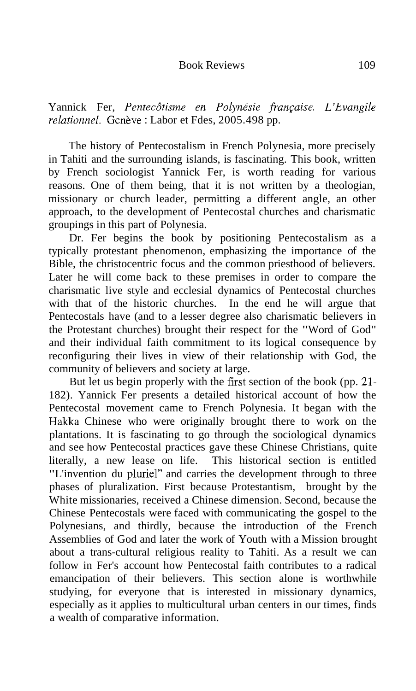Yannick Fer, Pentecôtisme en Polynésie française. L'Evangile relationnel. Genève : Labor et Fdes, 2005.498 pp.

The history of Pentecostalism in French Polynesia, more precisely in Tahiti and the surrounding islands, is fascinating. This book, written by French sociologist Yannick Fer, is worth reading for various reasons. One of them being, that it is not written by a theologian, missionary or church leader, permitting a different angle, an other approach, to the development of Pentecostal churches and charismatic groupings in this part of Polynesia.

Dr. Fer begins the book by positioning Pentecostalism as a typically protestant phenomenon, emphasizing the importance of the Bible, the christocentric focus and the common priesthood of believers. Later he will come back to these premises in order to compare the charismatic live style and ecclesial dynamics of Pentecostal churches with that of the historic churches. In the end he will argue that Pentecostals have (and to a lesser degree also charismatic believers in the Protestant churches) brought their respect for the "Word of God" and their individual faith commitment to its logical consequence by reconfiguring their lives in view of their relationship with God, the community of believers and society at large.

But let us begin properly with the first section of the book (pp. 21-Hakka Chinese who were originally brought there to work on the "L'invention du pluriel" and carries the development through to three 182). Yannick Fer presents a detailed historical account of how the Pentecostal movement came to French Polynesia. It began with the plantations. It is fascinating to go through the sociological dynamics and see how Pentecostal practices gave these Chinese Christians, quite literally, a new lease on life. This historical section is entitled phases of pluralization. First because Protestantism, brought by the White missionaries, received a Chinese dimension. Second, because the Chinese Pentecostals were faced with communicating the gospel to the Polynesians, and thirdly, because the introduction of the French Assemblies of God and later the work of Youth with a Mission brought about a trans-cultural religious reality to Tahiti. As a result we can follow in Fer's account how Pentecostal faith contributes to a radical emancipation of their believers. This section alone is worthwhile studying, for everyone that is interested in missionary dynamics, especially as it applies to multicultural urban centers in our times, finds a wealth of comparative information.